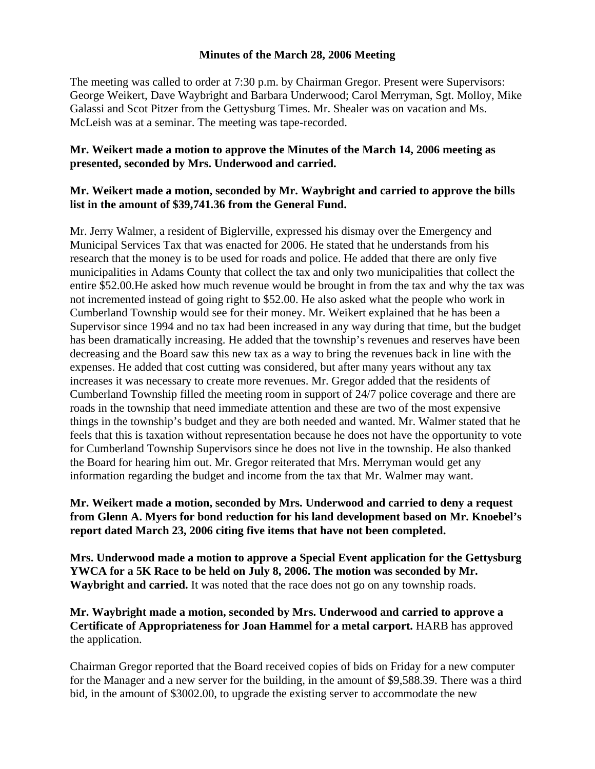#### **Minutes of the March 28, 2006 Meeting**

The meeting was called to order at 7:30 p.m. by Chairman Gregor. Present were Supervisors: George Weikert, Dave Waybright and Barbara Underwood; Carol Merryman, Sgt. Molloy, Mike Galassi and Scot Pitzer from the Gettysburg Times. Mr. Shealer was on vacation and Ms. McLeish was at a seminar. The meeting was tape-recorded.

## **Mr. Weikert made a motion to approve the Minutes of the March 14, 2006 meeting as presented, seconded by Mrs. Underwood and carried.**

### **Mr. Weikert made a motion, seconded by Mr. Waybright and carried to approve the bills list in the amount of \$39,741.36 from the General Fund.**

Mr. Jerry Walmer, a resident of Biglerville, expressed his dismay over the Emergency and Municipal Services Tax that was enacted for 2006. He stated that he understands from his research that the money is to be used for roads and police. He added that there are only five municipalities in Adams County that collect the tax and only two municipalities that collect the entire \$52.00.He asked how much revenue would be brought in from the tax and why the tax was not incremented instead of going right to \$52.00. He also asked what the people who work in Cumberland Township would see for their money. Mr. Weikert explained that he has been a Supervisor since 1994 and no tax had been increased in any way during that time, but the budget has been dramatically increasing. He added that the township's revenues and reserves have been decreasing and the Board saw this new tax as a way to bring the revenues back in line with the expenses. He added that cost cutting was considered, but after many years without any tax increases it was necessary to create more revenues. Mr. Gregor added that the residents of Cumberland Township filled the meeting room in support of 24/7 police coverage and there are roads in the township that need immediate attention and these are two of the most expensive things in the township's budget and they are both needed and wanted. Mr. Walmer stated that he feels that this is taxation without representation because he does not have the opportunity to vote for Cumberland Township Supervisors since he does not live in the township. He also thanked the Board for hearing him out. Mr. Gregor reiterated that Mrs. Merryman would get any information regarding the budget and income from the tax that Mr. Walmer may want.

# **Mr. Weikert made a motion, seconded by Mrs. Underwood and carried to deny a request from Glenn A. Myers for bond reduction for his land development based on Mr. Knoebel's report dated March 23, 2006 citing five items that have not been completed.**

**Mrs. Underwood made a motion to approve a Special Event application for the Gettysburg YWCA for a 5K Race to be held on July 8, 2006. The motion was seconded by Mr. Waybright and carried.** It was noted that the race does not go on any township roads.

### **Mr. Waybright made a motion, seconded by Mrs. Underwood and carried to approve a Certificate of Appropriateness for Joan Hammel for a metal carport.** HARB has approved the application.

Chairman Gregor reported that the Board received copies of bids on Friday for a new computer for the Manager and a new server for the building, in the amount of \$9,588.39. There was a third bid, in the amount of \$3002.00, to upgrade the existing server to accommodate the new